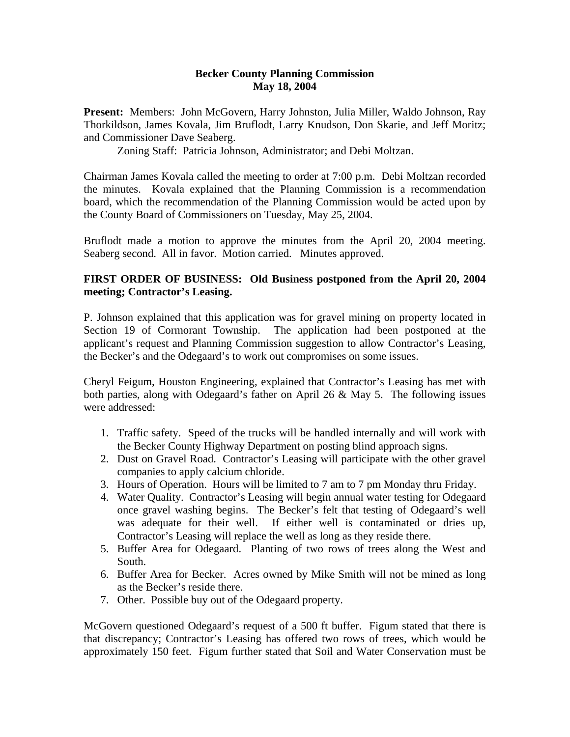## **Becker County Planning Commission May 18, 2004**

**Present:** Members: John McGovern, Harry Johnston, Julia Miller, Waldo Johnson, Ray Thorkildson, James Kovala, Jim Bruflodt, Larry Knudson, Don Skarie, and Jeff Moritz; and Commissioner Dave Seaberg.

Zoning Staff: Patricia Johnson, Administrator; and Debi Moltzan.

Chairman James Kovala called the meeting to order at 7:00 p.m. Debi Moltzan recorded the minutes. Kovala explained that the Planning Commission is a recommendation board, which the recommendation of the Planning Commission would be acted upon by the County Board of Commissioners on Tuesday, May 25, 2004.

Bruflodt made a motion to approve the minutes from the April 20, 2004 meeting. Seaberg second. All in favor. Motion carried. Minutes approved.

## **FIRST ORDER OF BUSINESS: Old Business postponed from the April 20, 2004 meeting; Contractor's Leasing.**

P. Johnson explained that this application was for gravel mining on property located in Section 19 of Cormorant Township. The application had been postponed at the applicant's request and Planning Commission suggestion to allow Contractor's Leasing, the Becker's and the Odegaard's to work out compromises on some issues.

Cheryl Feigum, Houston Engineering, explained that Contractor's Leasing has met with both parties, along with Odegaard's father on April 26 & May 5. The following issues were addressed:

- 1. Traffic safety. Speed of the trucks will be handled internally and will work with the Becker County Highway Department on posting blind approach signs.
- 2. Dust on Gravel Road. Contractor's Leasing will participate with the other gravel companies to apply calcium chloride.
- 3. Hours of Operation. Hours will be limited to 7 am to 7 pm Monday thru Friday.
- 4. Water Quality. Contractor's Leasing will begin annual water testing for Odegaard once gravel washing begins. The Becker's felt that testing of Odegaard's well was adequate for their well. If either well is contaminated or dries up, Contractor's Leasing will replace the well as long as they reside there.
- 5. Buffer Area for Odegaard. Planting of two rows of trees along the West and South.
- 6. Buffer Area for Becker. Acres owned by Mike Smith will not be mined as long as the Becker's reside there.
- 7. Other. Possible buy out of the Odegaard property.

McGovern questioned Odegaard's request of a 500 ft buffer. Figum stated that there is that discrepancy; Contractor's Leasing has offered two rows of trees, which would be approximately 150 feet. Figum further stated that Soil and Water Conservation must be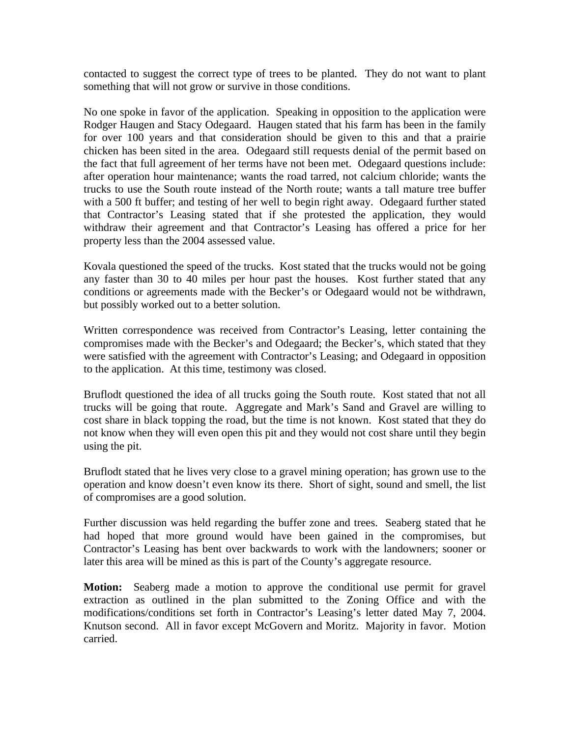contacted to suggest the correct type of trees to be planted. They do not want to plant something that will not grow or survive in those conditions.

No one spoke in favor of the application. Speaking in opposition to the application were Rodger Haugen and Stacy Odegaard. Haugen stated that his farm has been in the family for over 100 years and that consideration should be given to this and that a prairie chicken has been sited in the area. Odegaard still requests denial of the permit based on the fact that full agreement of her terms have not been met. Odegaard questions include: after operation hour maintenance; wants the road tarred, not calcium chloride; wants the trucks to use the South route instead of the North route; wants a tall mature tree buffer with a 500 ft buffer; and testing of her well to begin right away. Odegaard further stated that Contractor's Leasing stated that if she protested the application, they would withdraw their agreement and that Contractor's Leasing has offered a price for her property less than the 2004 assessed value.

Kovala questioned the speed of the trucks. Kost stated that the trucks would not be going any faster than 30 to 40 miles per hour past the houses. Kost further stated that any conditions or agreements made with the Becker's or Odegaard would not be withdrawn, but possibly worked out to a better solution.

Written correspondence was received from Contractor's Leasing, letter containing the compromises made with the Becker's and Odegaard; the Becker's, which stated that they were satisfied with the agreement with Contractor's Leasing; and Odegaard in opposition to the application. At this time, testimony was closed.

Bruflodt questioned the idea of all trucks going the South route. Kost stated that not all trucks will be going that route. Aggregate and Mark's Sand and Gravel are willing to cost share in black topping the road, but the time is not known. Kost stated that they do not know when they will even open this pit and they would not cost share until they begin using the pit.

Bruflodt stated that he lives very close to a gravel mining operation; has grown use to the operation and know doesn't even know its there. Short of sight, sound and smell, the list of compromises are a good solution.

Further discussion was held regarding the buffer zone and trees. Seaberg stated that he had hoped that more ground would have been gained in the compromises, but Contractor's Leasing has bent over backwards to work with the landowners; sooner or later this area will be mined as this is part of the County's aggregate resource.

**Motion:** Seaberg made a motion to approve the conditional use permit for gravel extraction as outlined in the plan submitted to the Zoning Office and with the modifications/conditions set forth in Contractor's Leasing's letter dated May 7, 2004. Knutson second. All in favor except McGovern and Moritz. Majority in favor. Motion carried.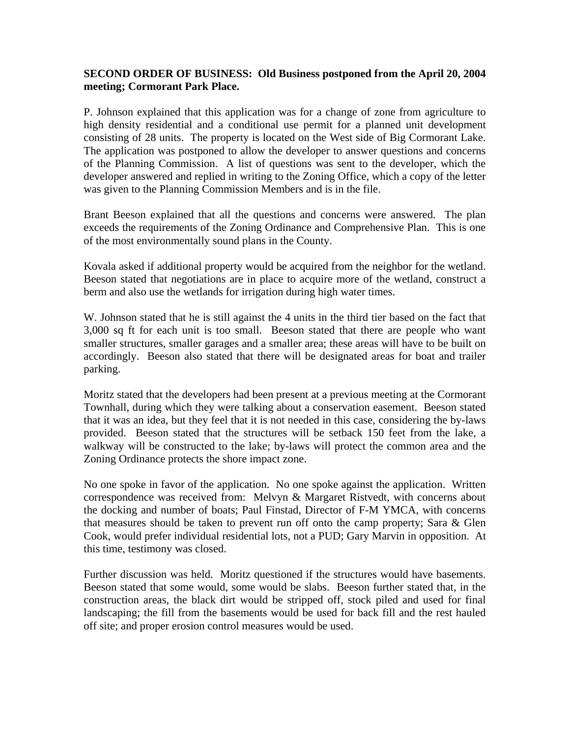## **SECOND ORDER OF BUSINESS: Old Business postponed from the April 20, 2004 meeting; Cormorant Park Place.**

P. Johnson explained that this application was for a change of zone from agriculture to high density residential and a conditional use permit for a planned unit development consisting of 28 units. The property is located on the West side of Big Cormorant Lake. The application was postponed to allow the developer to answer questions and concerns of the Planning Commission. A list of questions was sent to the developer, which the developer answered and replied in writing to the Zoning Office, which a copy of the letter was given to the Planning Commission Members and is in the file.

Brant Beeson explained that all the questions and concerns were answered. The plan exceeds the requirements of the Zoning Ordinance and Comprehensive Plan. This is one of the most environmentally sound plans in the County.

Kovala asked if additional property would be acquired from the neighbor for the wetland. Beeson stated that negotiations are in place to acquire more of the wetland, construct a berm and also use the wetlands for irrigation during high water times.

W. Johnson stated that he is still against the 4 units in the third tier based on the fact that 3,000 sq ft for each unit is too small. Beeson stated that there are people who want smaller structures, smaller garages and a smaller area; these areas will have to be built on accordingly. Beeson also stated that there will be designated areas for boat and trailer parking.

Moritz stated that the developers had been present at a previous meeting at the Cormorant Townhall, during which they were talking about a conservation easement. Beeson stated that it was an idea, but they feel that it is not needed in this case, considering the by-laws provided. Beeson stated that the structures will be setback 150 feet from the lake, a walkway will be constructed to the lake; by-laws will protect the common area and the Zoning Ordinance protects the shore impact zone.

No one spoke in favor of the application. No one spoke against the application. Written correspondence was received from: Melvyn & Margaret Ristvedt, with concerns about the docking and number of boats; Paul Finstad, Director of F-M YMCA, with concerns that measures should be taken to prevent run off onto the camp property; Sara  $\&$  Glen Cook, would prefer individual residential lots, not a PUD; Gary Marvin in opposition. At this time, testimony was closed.

Further discussion was held. Moritz questioned if the structures would have basements. Beeson stated that some would, some would be slabs. Beeson further stated that, in the construction areas, the black dirt would be stripped off, stock piled and used for final landscaping; the fill from the basements would be used for back fill and the rest hauled off site; and proper erosion control measures would be used.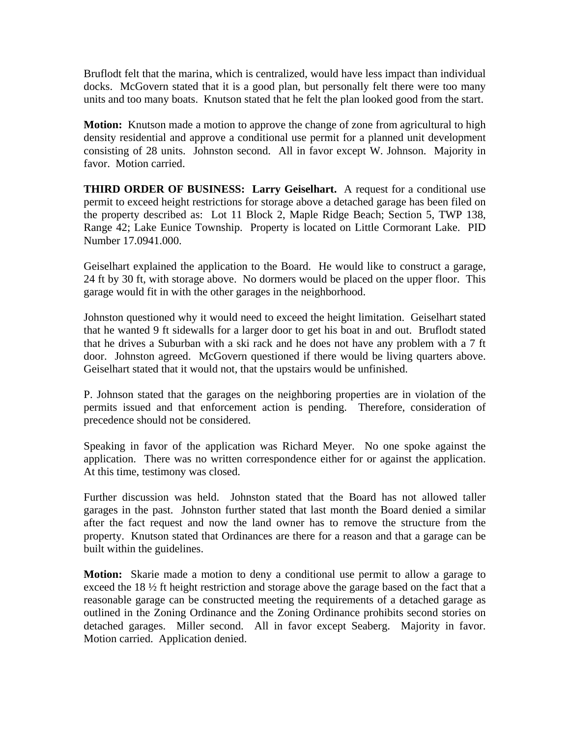Bruflodt felt that the marina, which is centralized, would have less impact than individual docks. McGovern stated that it is a good plan, but personally felt there were too many units and too many boats. Knutson stated that he felt the plan looked good from the start.

**Motion:** Knutson made a motion to approve the change of zone from agricultural to high density residential and approve a conditional use permit for a planned unit development consisting of 28 units. Johnston second. All in favor except W. Johnson. Majority in favor. Motion carried.

**THIRD ORDER OF BUSINESS: Larry Geiselhart.** A request for a conditional use permit to exceed height restrictions for storage above a detached garage has been filed on the property described as: Lot 11 Block 2, Maple Ridge Beach; Section 5, TWP 138, Range 42; Lake Eunice Township. Property is located on Little Cormorant Lake. PID Number 17.0941.000.

Geiselhart explained the application to the Board. He would like to construct a garage, 24 ft by 30 ft, with storage above. No dormers would be placed on the upper floor. This garage would fit in with the other garages in the neighborhood.

Johnston questioned why it would need to exceed the height limitation. Geiselhart stated that he wanted 9 ft sidewalls for a larger door to get his boat in and out. Bruflodt stated that he drives a Suburban with a ski rack and he does not have any problem with a 7 ft door. Johnston agreed. McGovern questioned if there would be living quarters above. Geiselhart stated that it would not, that the upstairs would be unfinished.

P. Johnson stated that the garages on the neighboring properties are in violation of the permits issued and that enforcement action is pending. Therefore, consideration of precedence should not be considered.

Speaking in favor of the application was Richard Meyer. No one spoke against the application. There was no written correspondence either for or against the application. At this time, testimony was closed.

Further discussion was held. Johnston stated that the Board has not allowed taller garages in the past. Johnston further stated that last month the Board denied a similar after the fact request and now the land owner has to remove the structure from the property. Knutson stated that Ordinances are there for a reason and that a garage can be built within the guidelines.

**Motion:** Skarie made a motion to deny a conditional use permit to allow a garage to exceed the 18 ½ ft height restriction and storage above the garage based on the fact that a reasonable garage can be constructed meeting the requirements of a detached garage as outlined in the Zoning Ordinance and the Zoning Ordinance prohibits second stories on detached garages. Miller second. All in favor except Seaberg. Majority in favor. Motion carried. Application denied.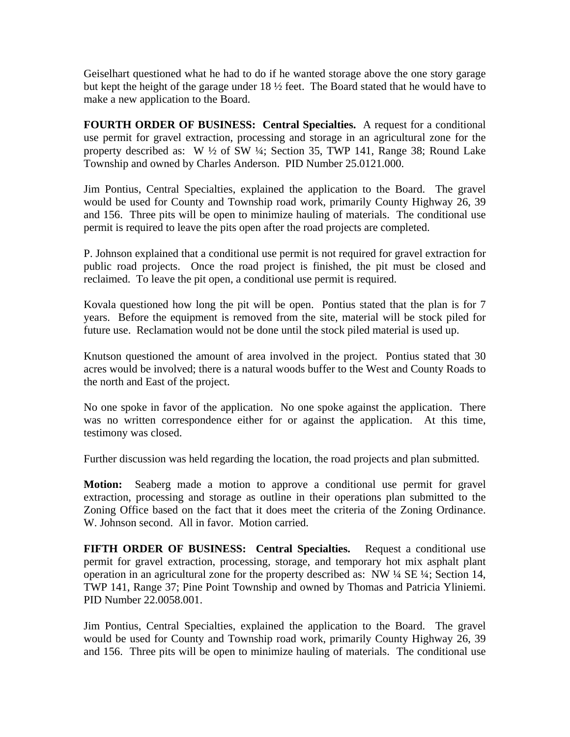Geiselhart questioned what he had to do if he wanted storage above the one story garage but kept the height of the garage under 18 ½ feet. The Board stated that he would have to make a new application to the Board.

**FOURTH ORDER OF BUSINESS: Central Specialties.** A request for a conditional use permit for gravel extraction, processing and storage in an agricultural zone for the property described as: W ½ of SW ¼; Section 35, TWP 141, Range 38; Round Lake Township and owned by Charles Anderson. PID Number 25.0121.000.

Jim Pontius, Central Specialties, explained the application to the Board. The gravel would be used for County and Township road work, primarily County Highway 26, 39 and 156. Three pits will be open to minimize hauling of materials. The conditional use permit is required to leave the pits open after the road projects are completed.

P. Johnson explained that a conditional use permit is not required for gravel extraction for public road projects. Once the road project is finished, the pit must be closed and reclaimed. To leave the pit open, a conditional use permit is required.

Kovala questioned how long the pit will be open. Pontius stated that the plan is for 7 years. Before the equipment is removed from the site, material will be stock piled for future use. Reclamation would not be done until the stock piled material is used up.

Knutson questioned the amount of area involved in the project. Pontius stated that 30 acres would be involved; there is a natural woods buffer to the West and County Roads to the north and East of the project.

No one spoke in favor of the application. No one spoke against the application. There was no written correspondence either for or against the application. At this time, testimony was closed.

Further discussion was held regarding the location, the road projects and plan submitted.

**Motion:** Seaberg made a motion to approve a conditional use permit for gravel extraction, processing and storage as outline in their operations plan submitted to the Zoning Office based on the fact that it does meet the criteria of the Zoning Ordinance. W. Johnson second. All in favor. Motion carried.

**FIFTH ORDER OF BUSINESS: Central Specialties.** Request a conditional use permit for gravel extraction, processing, storage, and temporary hot mix asphalt plant operation in an agricultural zone for the property described as: NW ¼ SE ¼; Section 14, TWP 141, Range 37; Pine Point Township and owned by Thomas and Patricia Yliniemi. PID Number 22.0058.001.

Jim Pontius, Central Specialties, explained the application to the Board. The gravel would be used for County and Township road work, primarily County Highway 26, 39 and 156. Three pits will be open to minimize hauling of materials. The conditional use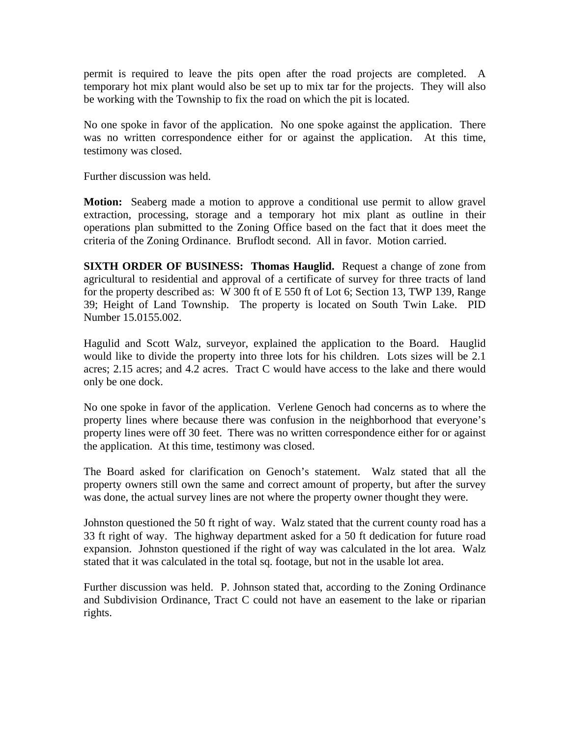permit is required to leave the pits open after the road projects are completed. A temporary hot mix plant would also be set up to mix tar for the projects. They will also be working with the Township to fix the road on which the pit is located.

No one spoke in favor of the application. No one spoke against the application. There was no written correspondence either for or against the application. At this time, testimony was closed.

Further discussion was held.

**Motion:** Seaberg made a motion to approve a conditional use permit to allow gravel extraction, processing, storage and a temporary hot mix plant as outline in their operations plan submitted to the Zoning Office based on the fact that it does meet the criteria of the Zoning Ordinance. Bruflodt second. All in favor. Motion carried.

**SIXTH ORDER OF BUSINESS: Thomas Hauglid.** Request a change of zone from agricultural to residential and approval of a certificate of survey for three tracts of land for the property described as: W 300 ft of E 550 ft of Lot 6; Section 13, TWP 139, Range 39; Height of Land Township. The property is located on South Twin Lake. PID Number 15.0155.002.

Hagulid and Scott Walz, surveyor, explained the application to the Board. Hauglid would like to divide the property into three lots for his children. Lots sizes will be 2.1 acres; 2.15 acres; and 4.2 acres. Tract C would have access to the lake and there would only be one dock.

No one spoke in favor of the application. Verlene Genoch had concerns as to where the property lines where because there was confusion in the neighborhood that everyone's property lines were off 30 feet. There was no written correspondence either for or against the application. At this time, testimony was closed.

The Board asked for clarification on Genoch's statement. Walz stated that all the property owners still own the same and correct amount of property, but after the survey was done, the actual survey lines are not where the property owner thought they were.

Johnston questioned the 50 ft right of way. Walz stated that the current county road has a 33 ft right of way. The highway department asked for a 50 ft dedication for future road expansion. Johnston questioned if the right of way was calculated in the lot area. Walz stated that it was calculated in the total sq. footage, but not in the usable lot area.

Further discussion was held. P. Johnson stated that, according to the Zoning Ordinance and Subdivision Ordinance, Tract C could not have an easement to the lake or riparian rights.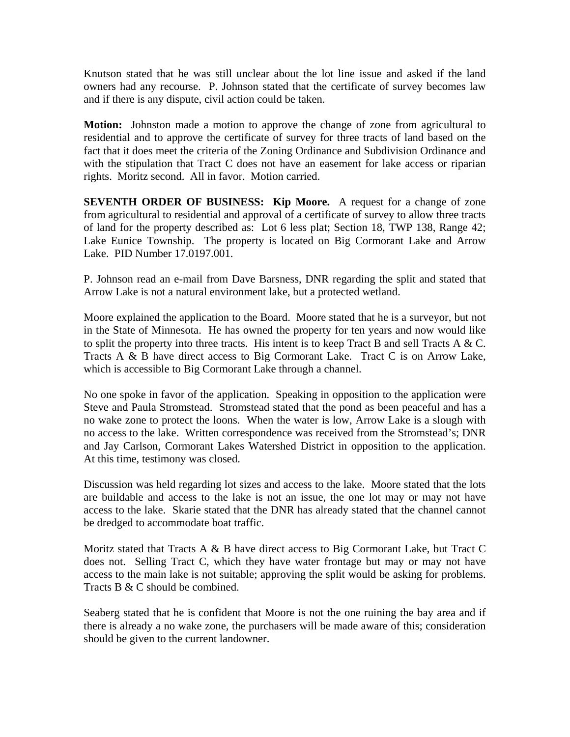Knutson stated that he was still unclear about the lot line issue and asked if the land owners had any recourse. P. Johnson stated that the certificate of survey becomes law and if there is any dispute, civil action could be taken.

**Motion:** Johnston made a motion to approve the change of zone from agricultural to residential and to approve the certificate of survey for three tracts of land based on the fact that it does meet the criteria of the Zoning Ordinance and Subdivision Ordinance and with the stipulation that Tract C does not have an easement for lake access or riparian rights. Moritz second. All in favor. Motion carried.

**SEVENTH ORDER OF BUSINESS: Kip Moore.** A request for a change of zone from agricultural to residential and approval of a certificate of survey to allow three tracts of land for the property described as: Lot 6 less plat; Section 18, TWP 138, Range 42; Lake Eunice Township. The property is located on Big Cormorant Lake and Arrow Lake. PID Number 17.0197.001.

P. Johnson read an e-mail from Dave Barsness, DNR regarding the split and stated that Arrow Lake is not a natural environment lake, but a protected wetland.

Moore explained the application to the Board. Moore stated that he is a surveyor, but not in the State of Minnesota. He has owned the property for ten years and now would like to split the property into three tracts. His intent is to keep Tract B and sell Tracts A  $&C$ . Tracts A & B have direct access to Big Cormorant Lake. Tract C is on Arrow Lake, which is accessible to Big Cormorant Lake through a channel.

No one spoke in favor of the application. Speaking in opposition to the application were Steve and Paula Stromstead. Stromstead stated that the pond as been peaceful and has a no wake zone to protect the loons. When the water is low, Arrow Lake is a slough with no access to the lake. Written correspondence was received from the Stromstead's; DNR and Jay Carlson, Cormorant Lakes Watershed District in opposition to the application. At this time, testimony was closed.

Discussion was held regarding lot sizes and access to the lake. Moore stated that the lots are buildable and access to the lake is not an issue, the one lot may or may not have access to the lake. Skarie stated that the DNR has already stated that the channel cannot be dredged to accommodate boat traffic.

Moritz stated that Tracts A  $\&$  B have direct access to Big Cormorant Lake, but Tract C does not. Selling Tract C, which they have water frontage but may or may not have access to the main lake is not suitable; approving the split would be asking for problems. Tracts B & C should be combined.

Seaberg stated that he is confident that Moore is not the one ruining the bay area and if there is already a no wake zone, the purchasers will be made aware of this; consideration should be given to the current landowner.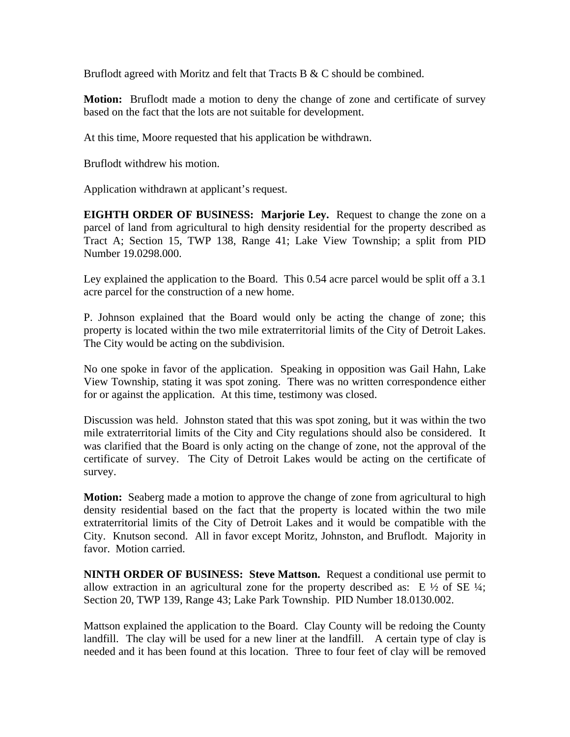Bruflodt agreed with Moritz and felt that Tracts B & C should be combined.

**Motion:** Bruflodt made a motion to deny the change of zone and certificate of survey based on the fact that the lots are not suitable for development.

At this time, Moore requested that his application be withdrawn.

Bruflodt withdrew his motion.

Application withdrawn at applicant's request.

**EIGHTH ORDER OF BUSINESS: Marjorie Ley.** Request to change the zone on a parcel of land from agricultural to high density residential for the property described as Tract A; Section 15, TWP 138, Range 41; Lake View Township; a split from PID Number 19.0298.000.

Ley explained the application to the Board. This 0.54 acre parcel would be split off a 3.1 acre parcel for the construction of a new home.

P. Johnson explained that the Board would only be acting the change of zone; this property is located within the two mile extraterritorial limits of the City of Detroit Lakes. The City would be acting on the subdivision.

No one spoke in favor of the application. Speaking in opposition was Gail Hahn, Lake View Township, stating it was spot zoning. There was no written correspondence either for or against the application. At this time, testimony was closed.

Discussion was held. Johnston stated that this was spot zoning, but it was within the two mile extraterritorial limits of the City and City regulations should also be considered. It was clarified that the Board is only acting on the change of zone, not the approval of the certificate of survey. The City of Detroit Lakes would be acting on the certificate of survey.

**Motion:** Seaberg made a motion to approve the change of zone from agricultural to high density residential based on the fact that the property is located within the two mile extraterritorial limits of the City of Detroit Lakes and it would be compatible with the City. Knutson second. All in favor except Moritz, Johnston, and Bruflodt. Majority in favor. Motion carried.

**NINTH ORDER OF BUSINESS: Steve Mattson.** Request a conditional use permit to allow extraction in an agricultural zone for the property described as: E  $\frac{1}{2}$  of SE  $\frac{1}{4}$ ; Section 20, TWP 139, Range 43; Lake Park Township. PID Number 18.0130.002.

Mattson explained the application to the Board. Clay County will be redoing the County landfill. The clay will be used for a new liner at the landfill. A certain type of clay is needed and it has been found at this location. Three to four feet of clay will be removed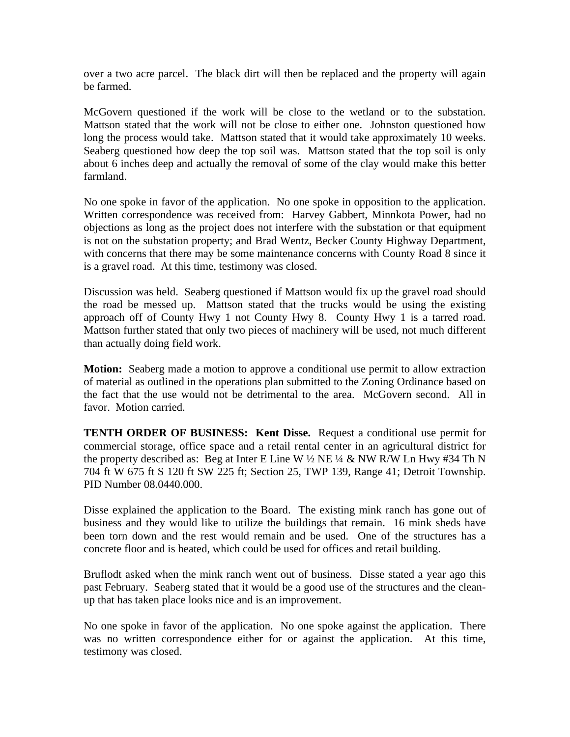over a two acre parcel. The black dirt will then be replaced and the property will again be farmed.

McGovern questioned if the work will be close to the wetland or to the substation. Mattson stated that the work will not be close to either one. Johnston questioned how long the process would take. Mattson stated that it would take approximately 10 weeks. Seaberg questioned how deep the top soil was. Mattson stated that the top soil is only about 6 inches deep and actually the removal of some of the clay would make this better farmland.

No one spoke in favor of the application. No one spoke in opposition to the application. Written correspondence was received from: Harvey Gabbert, Minnkota Power, had no objections as long as the project does not interfere with the substation or that equipment is not on the substation property; and Brad Wentz, Becker County Highway Department, with concerns that there may be some maintenance concerns with County Road 8 since it is a gravel road. At this time, testimony was closed.

Discussion was held. Seaberg questioned if Mattson would fix up the gravel road should the road be messed up. Mattson stated that the trucks would be using the existing approach off of County Hwy 1 not County Hwy 8. County Hwy 1 is a tarred road. Mattson further stated that only two pieces of machinery will be used, not much different than actually doing field work.

**Motion:** Seaberg made a motion to approve a conditional use permit to allow extraction of material as outlined in the operations plan submitted to the Zoning Ordinance based on the fact that the use would not be detrimental to the area. McGovern second. All in favor. Motion carried.

**TENTH ORDER OF BUSINESS: Kent Disse.** Request a conditional use permit for commercial storage, office space and a retail rental center in an agricultural district for the property described as: Beg at Inter E Line W  $\frac{1}{2}$  NE  $\frac{1}{4}$  & NW R/W Ln Hwy #34 Th N 704 ft W 675 ft S 120 ft SW 225 ft; Section 25, TWP 139, Range 41; Detroit Township. PID Number 08.0440.000.

Disse explained the application to the Board. The existing mink ranch has gone out of business and they would like to utilize the buildings that remain. 16 mink sheds have been torn down and the rest would remain and be used. One of the structures has a concrete floor and is heated, which could be used for offices and retail building.

Bruflodt asked when the mink ranch went out of business. Disse stated a year ago this past February. Seaberg stated that it would be a good use of the structures and the cleanup that has taken place looks nice and is an improvement.

No one spoke in favor of the application. No one spoke against the application. There was no written correspondence either for or against the application. At this time, testimony was closed.